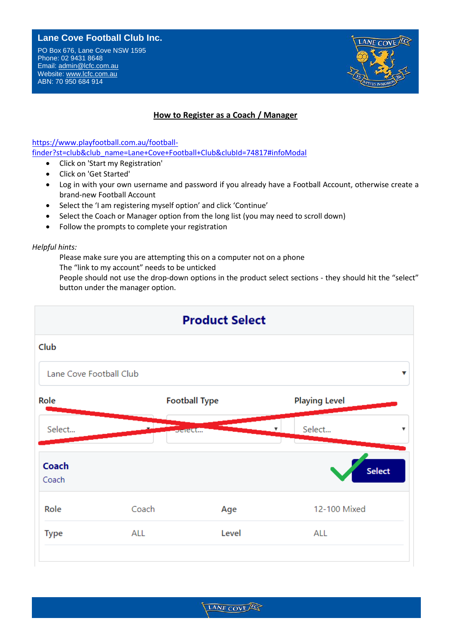## **Lane Cove Football Club Inc.**

PO Box 676, Lane Cove NSW 1595 Phone: 02 9431 8648 Email: [admin@lcfc.com.au](../../2010/admin@lcfc.com.au) Website: www.lcfc.com.au ABN: 70 950 684 914



## **How to Register as a Coach / Manager**

[https://www.playfootball.com.au/football](https://www.playfootball.com.au/football-finder?st=club&club_name=Lane+Cove+Football+Club&clubId=74817#infoModal)[finder?st=club&club\\_name=Lane+Cove+Football+Club&clubId=74817#infoModal](https://www.playfootball.com.au/football-finder?st=club&club_name=Lane+Cove+Football+Club&clubId=74817#infoModal)

- **Land Cover Cover Football Cover Football Cover Football Cover Cover Cover Cover Cover Cover Cover Cover Cover Cover Cover Cover Cover Cover Cover Cover Cover Cover Cover Cover Cover Cover Cover Cover Cover Cover Cover Cov** • Click on 'Start my Registration'
- Click on 'Get Started'
- Log in with your own username and password if you already have a Football Account, otherwise create a Website: www.lanecover.org.<br>The covered was also been a contracted was also been a contracted was also been a contracted was also been a c brand-new Football Account
	- Select the 'I am registering myself option' and click 'Continue'
	- Select the Coach or Manager option from the long list (you may need to scroll down)
	- Follow the prompts to complete your registration

*Helpful hints:*

Please make sure you are attempting this on a computer not on a phone

The "link to my account" needs to be unticked

People should not use the drop-down options in the product select sections - they should hit the "select" button under the manager option.



LANE COVE